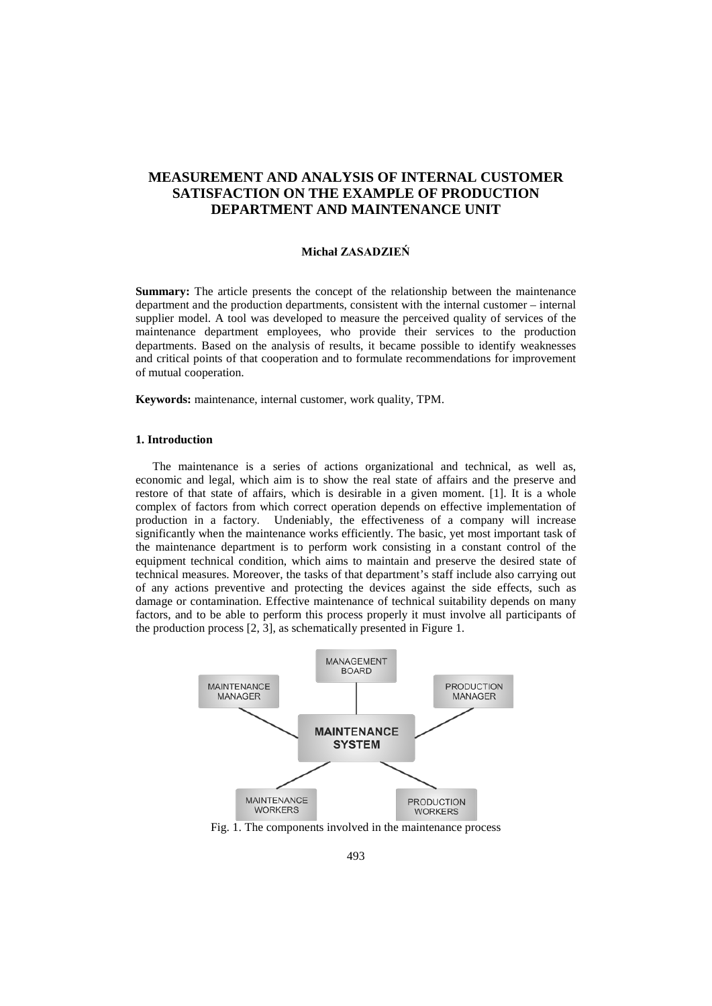# **MEASUREMENT AND ANALYSIS OF INTERNAL CUSTOMER SATISFACTION ON THE EXAMPLE OF PRODUCTION DEPARTMENT AND MAINTENANCE UNIT**

#### **Michał ZASADZIEŃ**

**Summary:** The article presents the concept of the relationship between the maintenance department and the production departments, consistent with the internal customer – internal supplier model. A tool was developed to measure the perceived quality of services of the maintenance department employees, who provide their services to the production departments. Based on the analysis of results, it became possible to identify weaknesses and critical points of that cooperation and to formulate recommendations for improvement of mutual cooperation.

**Keywords:** maintenance, internal customer, work quality, TPM.

## **1. Introduction**

The maintenance is a series of actions organizational and technical, as well as, economic and legal, which aim is to show the real state of affairs and the preserve and restore of that state of affairs, which is desirable in a given moment. [1]. It is a whole complex of factors from which correct operation depends on effective implementation of production in a factory. Undeniably, the effectiveness of a company will increase significantly when the maintenance works efficiently. The basic, yet most important task of the maintenance department is to perform work consisting in a constant control of the equipment technical condition, which aims to maintain and preserve the desired state of technical measures. Moreover, the tasks of that department's staff include also carrying out of any actions preventive and protecting the devices against the side effects, such as damage or contamination. Effective maintenance of technical suitability depends on many factors, and to be able to perform this process properly it must involve all participants of the production process [2, 3], as schematically presented in Figure 1.



Fig. 1. The components involved in the maintenance process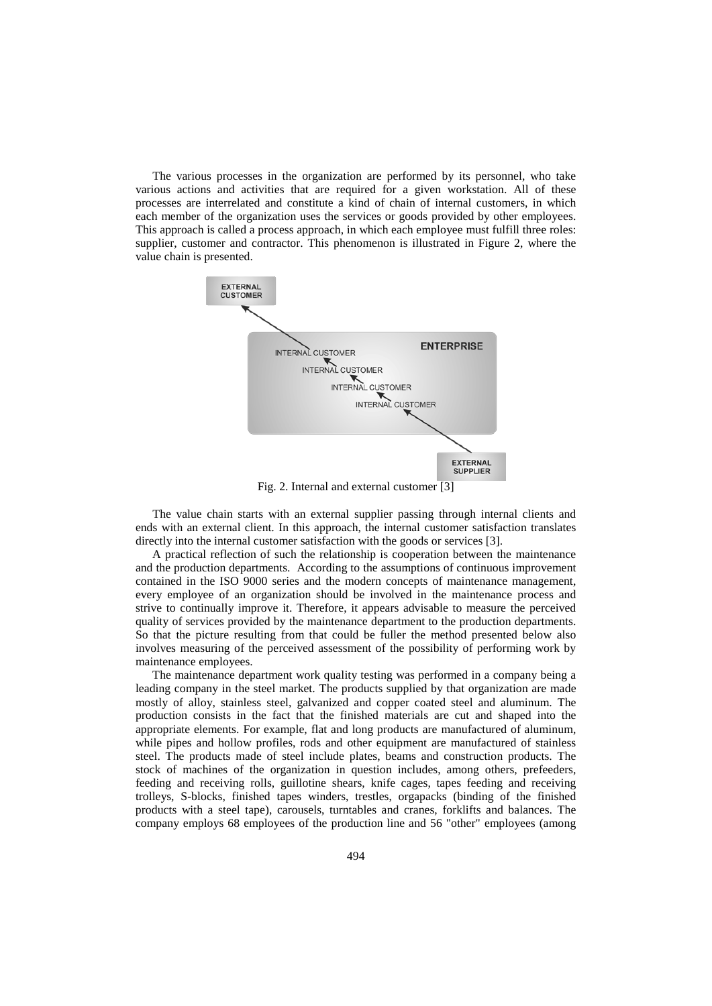The various processes in the organization are performed by its personnel, who take various actions and activities that are required for a given workstation. All of these processes are interrelated and constitute a kind of chain of internal customers, in which each member of the organization uses the services or goods provided by other employees. This approach is called a process approach, in which each employee must fulfill three roles: supplier, customer and contractor. This phenomenon is illustrated in Figure 2, where the value chain is presented.



Fig. 2. Internal and external customer [3]

The value chain starts with an external supplier passing through internal clients and ends with an external client. In this approach, the internal customer satisfaction translates directly into the internal customer satisfaction with the goods or services [3].

A practical reflection of such the relationship is cooperation between the maintenance and the production departments. According to the assumptions of continuous improvement contained in the ISO 9000 series and the modern concepts of maintenance management, every employee of an organization should be involved in the maintenance process and strive to continually improve it. Therefore, it appears advisable to measure the perceived quality of services provided by the maintenance department to the production departments. So that the picture resulting from that could be fuller the method presented below also involves measuring of the perceived assessment of the possibility of performing work by maintenance employees.

The maintenance department work quality testing was performed in a company being a leading company in the steel market. The products supplied by that organization are made mostly of alloy, stainless steel, galvanized and copper coated steel and aluminum. The production consists in the fact that the finished materials are cut and shaped into the appropriate elements. For example, flat and long products are manufactured of aluminum, while pipes and hollow profiles, rods and other equipment are manufactured of stainless steel. The products made of steel include plates, beams and construction products. The stock of machines of the organization in question includes, among others, prefeeders, feeding and receiving rolls, guillotine shears, knife cages, tapes feeding and receiving trolleys, S-blocks, finished tapes winders, trestles, orgapacks (binding of the finished products with a steel tape), carousels, turntables and cranes, forklifts and balances. The company employs 68 employees of the production line and 56 "other" employees (among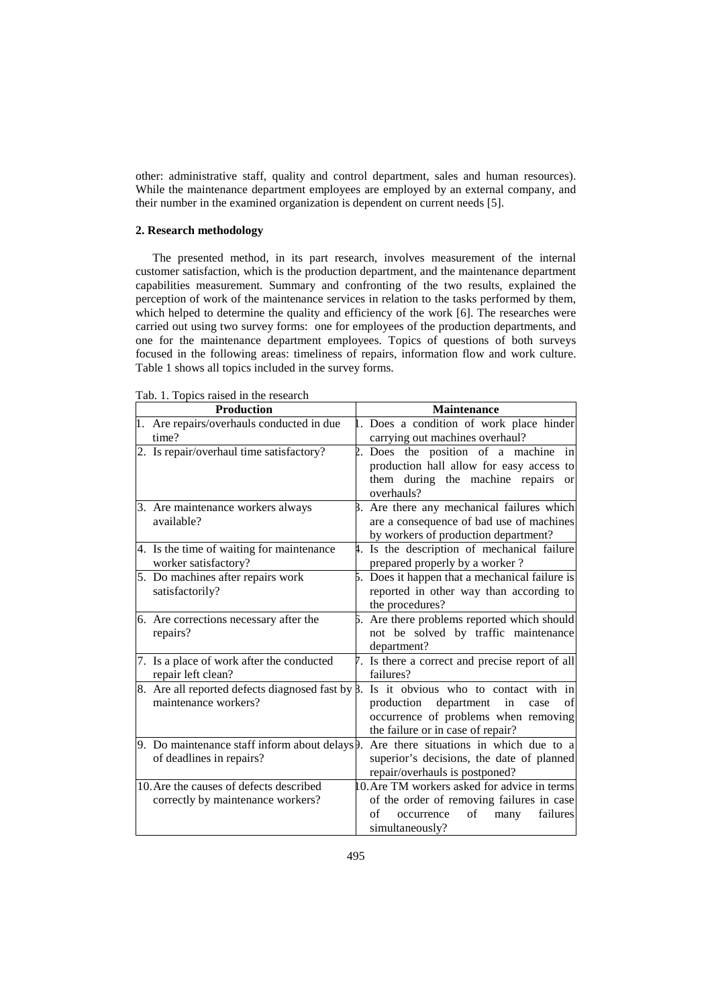other: administrative staff, quality and control department, sales and human resources). While the maintenance department employees are employed by an external company, and their number in the examined organization is dependent on current needs [5].

### **2. Research methodology**

The presented method, in its part research, involves measurement of the internal customer satisfaction, which is the production department, and the maintenance department capabilities measurement. Summary and confronting of the two results, explained the perception of work of the maintenance services in relation to the tasks performed by them, which helped to determine the quality and efficiency of the work [6]. The researches were carried out using two survey forms: one for employees of the production departments, and one for the maintenance department employees. Topics of questions of both surveys focused in the following areas: timeliness of repairs, information flow and work culture. Table 1 shows all topics included in the survey forms.

| <b>Production</b>                                                                 | <b>Maintenance</b> |                                                                                                                                                                   |  |  |
|-----------------------------------------------------------------------------------|--------------------|-------------------------------------------------------------------------------------------------------------------------------------------------------------------|--|--|
| 1. Are repairs/overhauls conducted in due<br>time?                                |                    | 1. Does a condition of work place hinder<br>carrying out machines overhaul?                                                                                       |  |  |
| 2. Is repair/overhaul time satisfactory?                                          |                    | 2. Does the position of a machine in<br>production hall allow for easy access to<br>them during the machine repairs<br><b>or</b><br>overhauls?                    |  |  |
| 3. Are maintenance workers always<br>available?                                   |                    | β. Are there any mechanical failures which<br>are a consequence of bad use of machines<br>by workers of production department?                                    |  |  |
| 4. Is the time of waiting for maintenance<br>worker satisfactory?                 |                    | 4. Is the description of mechanical failure<br>prepared properly by a worker?                                                                                     |  |  |
| 5. Do machines after repairs work<br>satisfactorily?                              |                    | 5. Does it happen that a mechanical failure is<br>reported in other way than according to<br>the procedures?                                                      |  |  |
| 6. Are corrections necessary after the<br>repairs?                                |                    | 5. Are there problems reported which should<br>not be solved by traffic maintenance<br>department?                                                                |  |  |
| 7. Is a place of work after the conducted<br>repair left clean?                   |                    | 7. Is there a correct and precise report of all<br>failures?                                                                                                      |  |  |
| 8. Are all reported defects diagnosed fast by $\beta$ .<br>maintenance workers?   |                    | Is it obvious who to contact with in<br>of<br>department<br>production<br>in<br>case<br>occurrence of problems when removing<br>the failure or in case of repair? |  |  |
| 9. Do maintenance staff inform about delays $\beta$ .<br>of deadlines in repairs? |                    | Are there situations in which due to a<br>superior's decisions, the date of planned<br>repair/overhauls is postponed?                                             |  |  |
| 10. Are the causes of defects described<br>correctly by maintenance workers?      |                    | 10. Are TM workers asked for advice in terms<br>of the order of removing failures in case<br>of<br>failures<br>of<br>occurrence<br>many<br>simultaneously?        |  |  |

Tab. 1. Topics raised in the research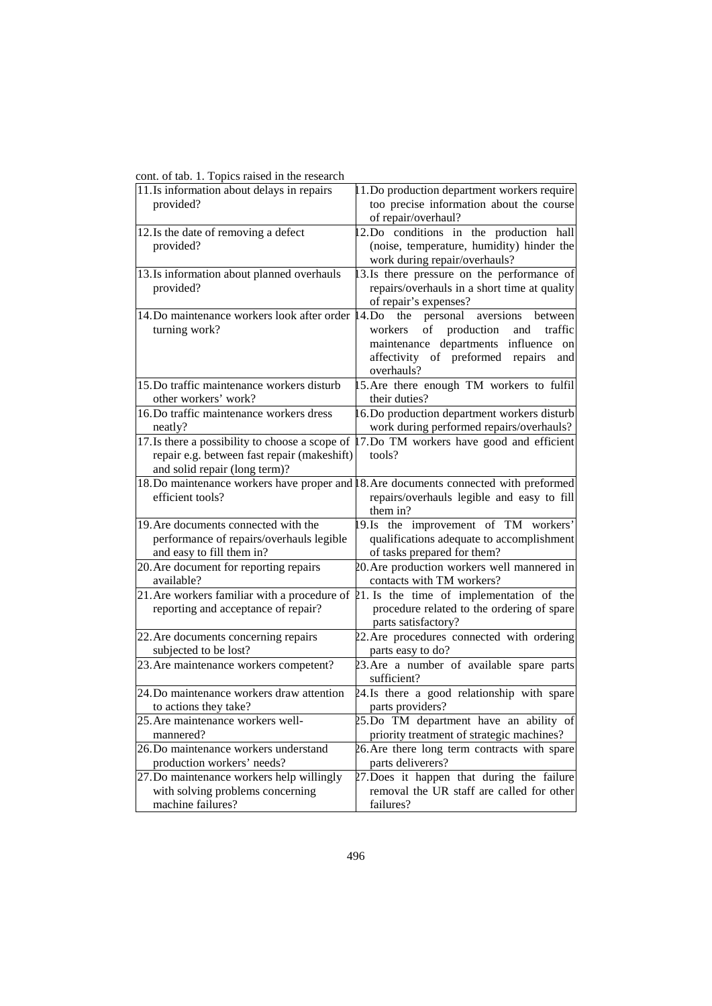| $\sigma$ and $\sigma$ . The probability of $\sigma$ in the $\sigma$ |                                                                                              |
|---------------------------------------------------------------------|----------------------------------------------------------------------------------------------|
| 11.Is information about delays in repairs                           | 1. Do production department workers require                                                  |
| provided?                                                           | too precise information about the course                                                     |
|                                                                     | of repair/overhaul?                                                                          |
| 12. Is the date of removing a defect                                | 12.Do conditions in the production hall                                                      |
| provided?                                                           | (noise, temperature, humidity) hinder the                                                    |
|                                                                     | work during repair/overhauls?                                                                |
| 13. Is information about planned overhauls                          | 13.Is there pressure on the performance of                                                   |
| provided?                                                           | repairs/overhauls in a short time at quality                                                 |
|                                                                     | of repair's expenses?                                                                        |
| 14. Do maintenance workers look after order                         | 14.Do<br>the<br>personal<br>between<br>aversions                                             |
| turning work?                                                       | production<br>$\mathrm{of}$<br>and<br>traffic<br>workers                                     |
|                                                                     | maintenance departments influence on                                                         |
|                                                                     | affectivity of preformed repairs<br>and                                                      |
|                                                                     | overhauls?                                                                                   |
| 15. Do traffic maintenance workers disturb                          | 15. Are there enough TM workers to fulfil                                                    |
| other workers' work?                                                | their duties?                                                                                |
| 16. Do traffic maintenance workers dress                            | 16. Do production department workers disturb                                                 |
| neatly?                                                             | work during performed repairs/overhauls?                                                     |
| 17. Is there a possibility to choose a scope of                     | 17.Do TM workers have good and efficient                                                     |
| repair e.g. between fast repair (makeshift)                         | tools?                                                                                       |
| and solid repair (long term)?                                       |                                                                                              |
|                                                                     | 18. Do maintenance workers have proper and 8. Are documents connected with preformed         |
| efficient tools?                                                    | repairs/overhauls legible and easy to fill                                                   |
|                                                                     | them in?                                                                                     |
| 19. Are documents connected with the                                | 19.Is the improvement of TM workers'                                                         |
| performance of repairs/overhauls legible                            | qualifications adequate to accomplishment                                                    |
| and easy to fill them in?                                           | of tasks prepared for them?                                                                  |
| 20. Are document for reporting repairs                              | 20. Are production workers well mannered in                                                  |
| available?                                                          | contacts with TM workers?                                                                    |
|                                                                     | 21. Are workers familiar with a procedure of $\beta$ 1. Is the time of implementation of the |
| reporting and acceptance of repair?                                 | procedure related to the ordering of spare                                                   |
|                                                                     | parts satisfactory?                                                                          |
| 22. Are documents concerning repairs                                | 22. Are procedures connected with ordering                                                   |
| subjected to be lost?                                               | parts easy to do?                                                                            |
| 23. Are maintenance workers competent?                              | 23. Are a number of available spare parts                                                    |
|                                                                     | sufficient?                                                                                  |
| 24. Do maintenance workers draw attention                           | 24.Is there a good relationship with spare                                                   |
| to actions they take?                                               | parts providers?                                                                             |
| 25. Are maintenance workers well-                                   | 25.Do TM department have an ability of                                                       |
| mannered?                                                           | priority treatment of strategic machines?                                                    |
| 26. Do maintenance workers understand                               | 26. Are there long term contracts with spare                                                 |
| production workers' needs?                                          | parts deliverers?                                                                            |
| 27. Do maintenance workers help willingly                           | 27. Does it happen that during the failure                                                   |
| with solving problems concerning                                    | removal the UR staff are called for other                                                    |
| machine failures?                                                   | failures?                                                                                    |

cont. of tab. 1. Topics raised in the research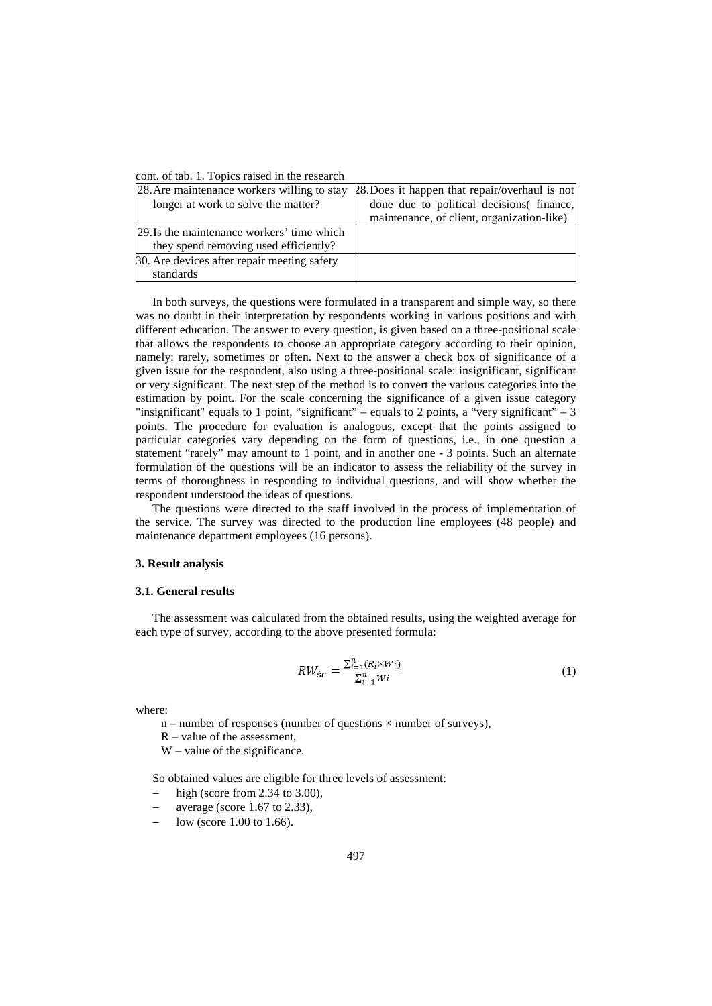|  |  |  |  |  |  |  |  |  | cont. of tab. 1. Topics raised in the research |  |
|--|--|--|--|--|--|--|--|--|------------------------------------------------|--|
|--|--|--|--|--|--|--|--|--|------------------------------------------------|--|

| 28. Are maintenance workers willing to stay | 28. Does it happen that repair/overhaul is not |
|---------------------------------------------|------------------------------------------------|
| longer at work to solve the matter?         | done due to political decisions (finance,      |
|                                             | maintenance, of client, organization-like)     |
| 129. Is the maintenance workers' time which |                                                |
| they spend removing used efficiently?       |                                                |
| 30. Are devices after repair meeting safety |                                                |
| standards                                   |                                                |

In both surveys, the questions were formulated in a transparent and simple way, so there was no doubt in their interpretation by respondents working in various positions and with different education. The answer to every question, is given based on a three-positional scale that allows the respondents to choose an appropriate category according to their opinion, namely: rarely, sometimes or often. Next to the answer a check box of significance of a given issue for the respondent, also using a three-positional scale: insignificant, significant or very significant. The next step of the method is to convert the various categories into the estimation by point. For the scale concerning the significance of a given issue category "insignificant" equals to 1 point, "significant" – equals to 2 points, a "very significant" – 3 points. The procedure for evaluation is analogous, except that the points assigned to particular categories vary depending on the form of questions, i.e., in one question a statement "rarely" may amount to 1 point, and in another one - 3 points. Such an alternate formulation of the questions will be an indicator to assess the reliability of the survey in terms of thoroughness in responding to individual questions, and will show whether the respondent understood the ideas of questions.

The questions were directed to the staff involved in the process of implementation of the service. The survey was directed to the production line employees (48 people) and maintenance department employees (16 persons).

### **3. Result analysis**

#### **3.1. General results**

The assessment was calculated from the obtained results, using the weighted average for each type of survey, according to the above presented formula:

$$
RW_{\acute{s}r} = \frac{\sum_{i=1}^{n} (R_i \times W_i)}{\sum_{i=1}^{n} W_i}
$$
 (1)

where:

- $n$  number of responses (number of questions  $\times$  number of surveys),
- R value of the assessment,
- W value of the significance.

So obtained values are eligible for three levels of assessment:

- − high (score from 2.34 to 3.00),
- average (score  $1.67$  to  $2.33$ ),
- low (score 1.00 to 1.66).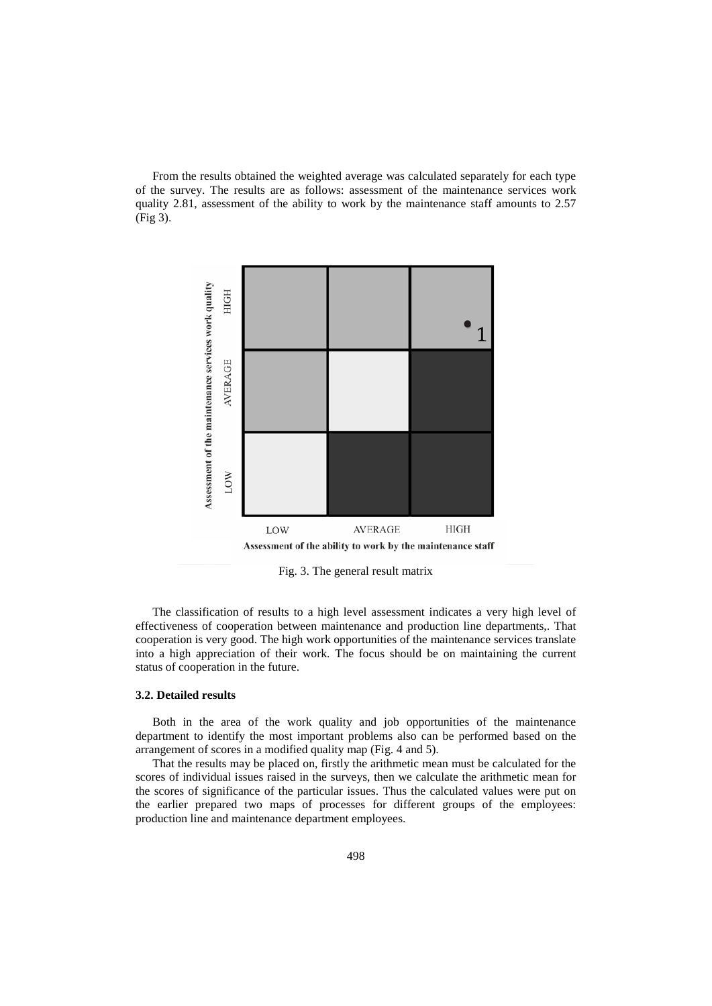From the results obtained the weighted average was calculated separately for each type of the survey. The results are as follows: assessment of the maintenance services work quality 2.81, assessment of the ability to work by the maintenance staff amounts to 2.57 (Fig 3).



Fig. 3. The general result matrix

The classification of results to a high level assessment indicates a very high level of effectiveness of cooperation between maintenance and production line departments,. That cooperation is very good. The high work opportunities of the maintenance services translate into a high appreciation of their work. The focus should be on maintaining the current status of cooperation in the future.

## **3.2. Detailed results**

Both in the area of the work quality and job opportunities of the maintenance department to identify the most important problems also can be performed based on the arrangement of scores in a modified quality map (Fig. 4 and 5).

That the results may be placed on, firstly the arithmetic mean must be calculated for the scores of individual issues raised in the surveys, then we calculate the arithmetic mean for the scores of significance of the particular issues. Thus the calculated values were put on the earlier prepared two maps of processes for different groups of the employees: production line and maintenance department employees.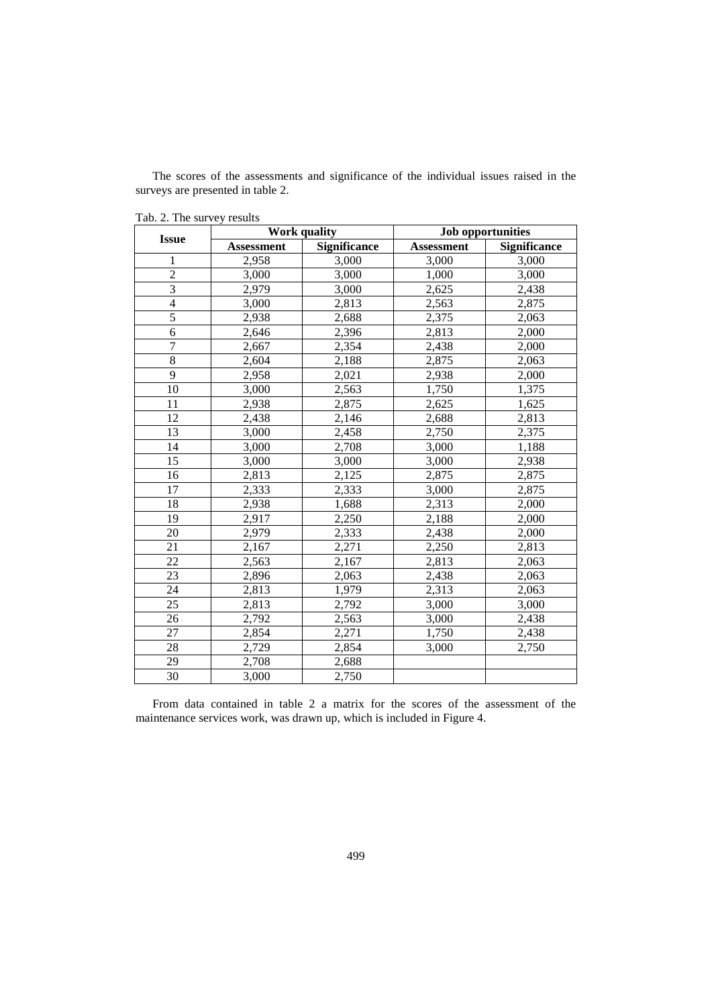The scores of the assessments and significance of the individual issues raised in the surveys are presented in table 2.

| $100.21$ and $0000$ $1000$ |                   | <b>Work quality</b> | <b>Job opportunities</b> |              |  |
|----------------------------|-------------------|---------------------|--------------------------|--------------|--|
| <b>Issue</b>               | <b>Assessment</b> | <b>Significance</b> | <b>Assessment</b>        | Significance |  |
| $\mathbf{1}$               | 2,958             | 3,000               | 3,000                    | 3,000        |  |
| $\overline{2}$             | 3,000             | 3,000               | 1,000                    | 3,000        |  |
| $\overline{3}$             | 2,979             | 3,000               | 2,625                    | 2,438        |  |
| $\overline{4}$             | 3,000             | 2,813               | 2,563                    | 2,875        |  |
| $\overline{5}$             | 2,938             | 2,688               | 2,375                    | 2,063        |  |
| 6                          | 2,646             | 2,396               | 2,813                    | 2,000        |  |
| $\overline{7}$             | 2,667             | 2,354               | 2,438                    | 2,000        |  |
| 8                          | 2,604             | 2,188               | 2,875                    | 2,063        |  |
| 9                          | 2,958             | 2,021               | 2,938                    | 2,000        |  |
| 10                         | 3,000             | 2,563               | 1,750                    | 1,375        |  |
| 11                         | 2,938             | 2,875               | 2,625                    | 1,625        |  |
| 12                         | 2,438             | 2,146               | 2,688                    | 2,813        |  |
| 13                         | 3,000             | 2,458               | 2,750                    | 2,375        |  |
| 14                         | 3,000             | 2,708               | 3,000                    | 1,188        |  |
| 15                         | 3,000             | 3,000               | 3,000                    | 2,938        |  |
| 16                         | 2,813             | 2,125               | 2,875                    | 2,875        |  |
| 17                         | 2,333             | 2,333               | 3,000                    | 2,875        |  |
| 18                         | 2,938             | 1,688               | 2,313                    | 2,000        |  |
| 19                         | 2,917             | 2,250               | 2,188                    | 2,000        |  |
| 20                         | 2,979             | 2,333               | 2,438                    | 2,000        |  |
| 21                         | 2,167             | 2,271               | 2,250                    | 2,813        |  |
| 22                         | 2,563             | 2,167               | 2,813                    | 2,063        |  |
| 23                         | 2,896             | 2,063               | 2,438                    | 2,063        |  |
| 24                         | 2,813             | 1,979               | 2,313                    | 2,063        |  |
| 25                         | 2,813             | 2,792               | 3,000                    | 3,000        |  |
| 26                         | 2,792             | 2,563               | 3,000                    | 2,438        |  |
| 27                         | 2,854             | 2,271               | 1,750                    | 2,438        |  |
| 28                         | 2,729             | 2,854               | 3,000                    | 2,750        |  |
| 29                         | 2,708             | 2,688               |                          |              |  |
| 30                         | 3,000             | 2,750               |                          |              |  |

Tab. 2. The survey results

From data contained in table 2 a matrix for the scores of the assessment of the maintenance services work, was drawn up, which is included in Figure 4.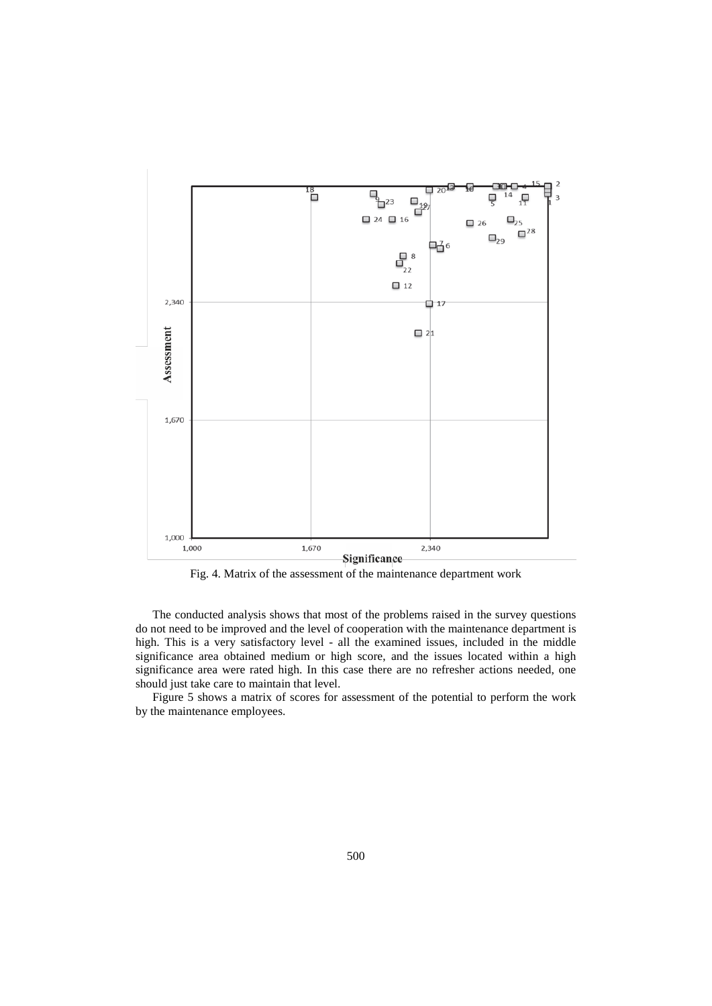

Fig. 4. Matrix of the assessment of the maintenance department work

The conducted analysis shows that most of the problems raised in the survey questions do not need to be improved and the level of cooperation with the maintenance department is high. This is a very satisfactory level - all the examined issues, included in the middle significance area obtained medium or high score, and the issues located within a high significance area were rated high. In this case there are no refresher actions needed, one should just take care to maintain that level.

Figure 5 shows a matrix of scores for assessment of the potential to perform the work by the maintenance employees.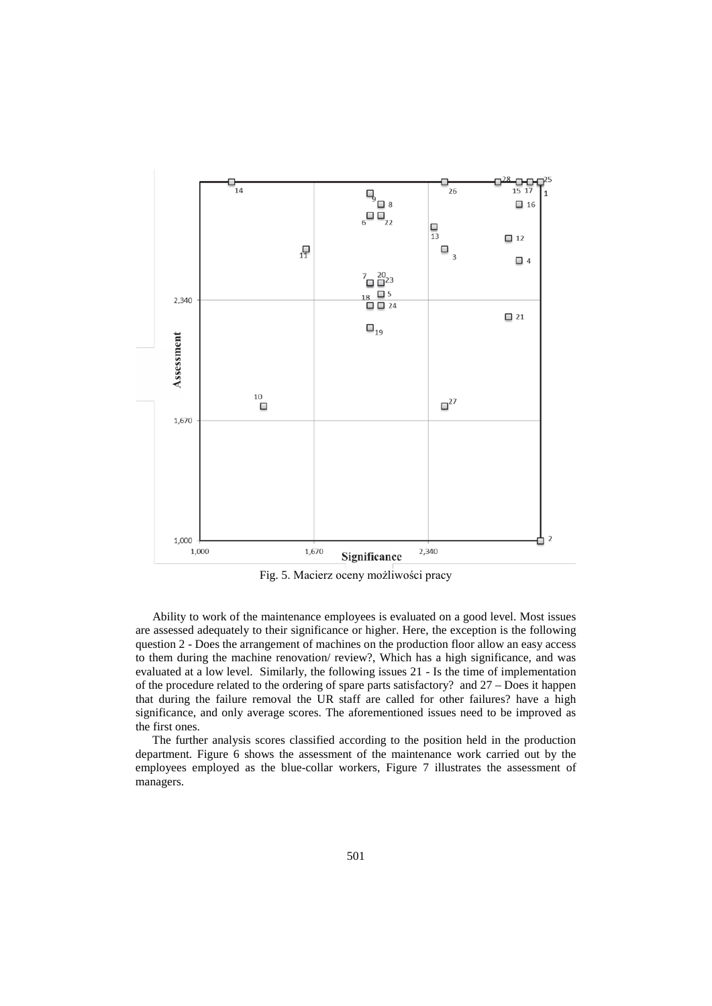

Fig. 5. Macierz oceny możliwości pracy

Ability to work of the maintenance employees is evaluated on a good level. Most issues are assessed adequately to their significance or higher. Here, the exception is the following question 2 - Does the arrangement of machines on the production floor allow an easy access to them during the machine renovation/ review?, Which has a high significance, and was evaluated at a low level. Similarly, the following issues 21 - Is the time of implementation of the procedure related to the ordering of spare parts satisfactory? and 27 – Does it happen that during the failure removal the UR staff are called for other failures? have a high significance, and only average scores. The aforementioned issues need to be improved as the first ones.

The further analysis scores classified according to the position held in the production department. Figure 6 shows the assessment of the maintenance work carried out by the employees employed as the blue-collar workers, Figure 7 illustrates the assessment of managers.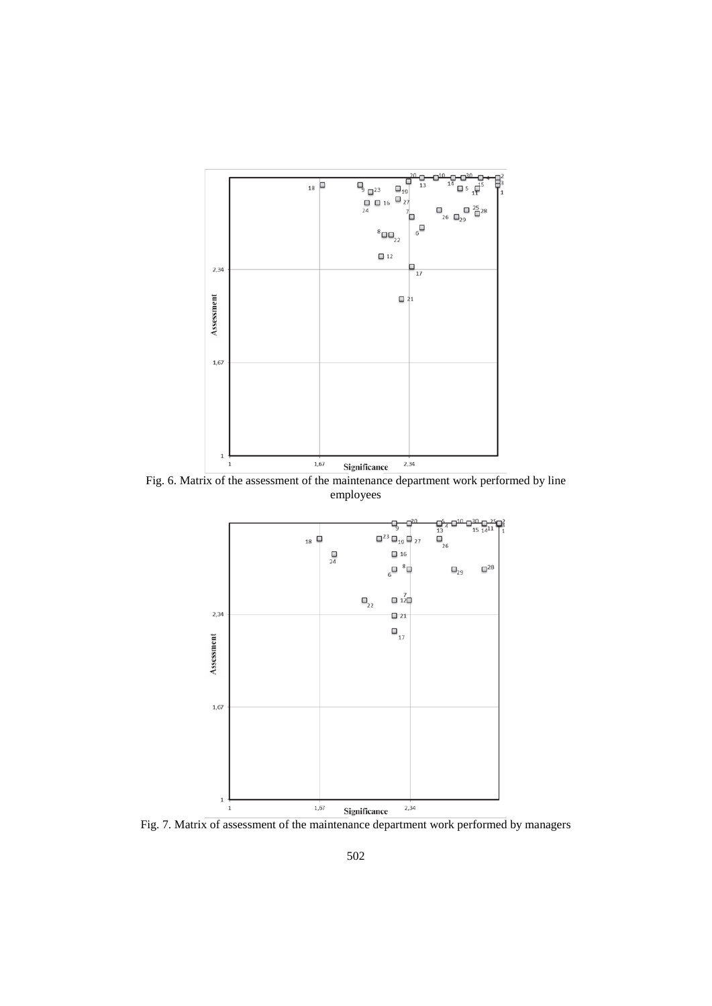

Fig. 6. Matrix of the assessment of the maintenance department work performed by line employees



Fig. 7. Matrix of assessment of the maintenance department work performed by managers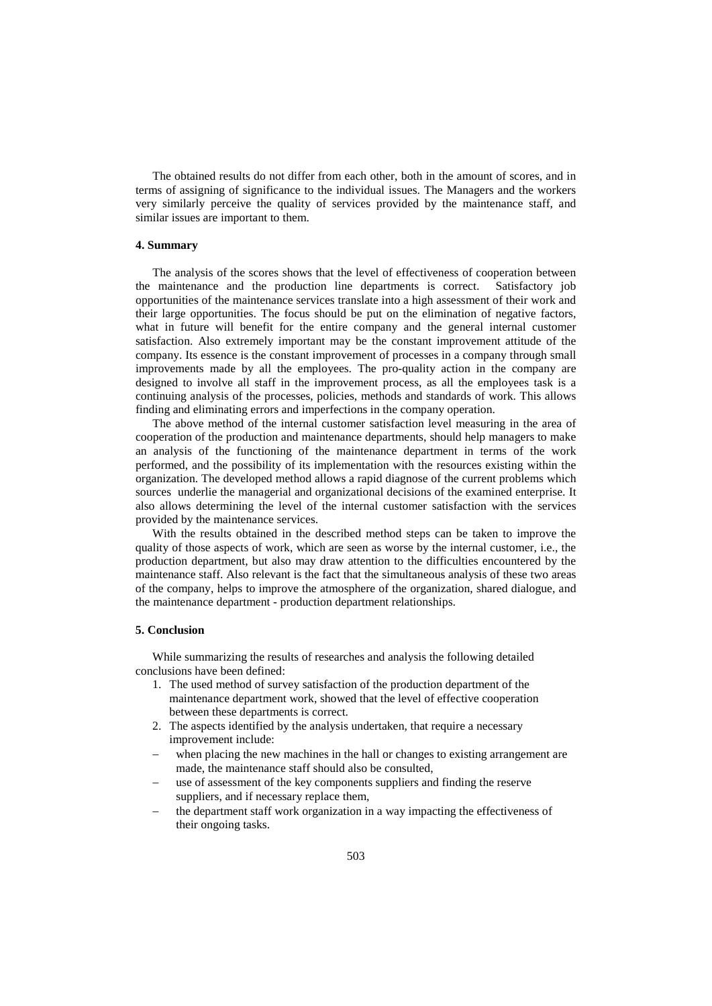The obtained results do not differ from each other, both in the amount of scores, and in terms of assigning of significance to the individual issues. The Managers and the workers very similarly perceive the quality of services provided by the maintenance staff, and similar issues are important to them.

## **4. Summary**

The analysis of the scores shows that the level of effectiveness of cooperation between the maintenance and the production line departments is correct. Satisfactory job opportunities of the maintenance services translate into a high assessment of their work and their large opportunities. The focus should be put on the elimination of negative factors, what in future will benefit for the entire company and the general internal customer satisfaction. Also extremely important may be the constant improvement attitude of the company. Its essence is the constant improvement of processes in a company through small improvements made by all the employees. The pro-quality action in the company are designed to involve all staff in the improvement process, as all the employees task is a continuing analysis of the processes, policies, methods and standards of work. This allows finding and eliminating errors and imperfections in the company operation.

The above method of the internal customer satisfaction level measuring in the area of cooperation of the production and maintenance departments, should help managers to make an analysis of the functioning of the maintenance department in terms of the work performed, and the possibility of its implementation with the resources existing within the organization. The developed method allows a rapid diagnose of the current problems which sources underlie the managerial and organizational decisions of the examined enterprise. It also allows determining the level of the internal customer satisfaction with the services provided by the maintenance services.

With the results obtained in the described method steps can be taken to improve the quality of those aspects of work, which are seen as worse by the internal customer, i.e., the production department, but also may draw attention to the difficulties encountered by the maintenance staff. Also relevant is the fact that the simultaneous analysis of these two areas of the company, helps to improve the atmosphere of the organization, shared dialogue, and the maintenance department - production department relationships.

### **5. Conclusion**

While summarizing the results of researches and analysis the following detailed conclusions have been defined:

- 1. The used method of survey satisfaction of the production department of the maintenance department work, showed that the level of effective cooperation between these departments is correct.
- 2. The aspects identified by the analysis undertaken, that require a necessary improvement include:
- when placing the new machines in the hall or changes to existing arrangement are made, the maintenance staff should also be consulted,
- use of assessment of the key components suppliers and finding the reserve suppliers, and if necessary replace them,
- the department staff work organization in a way impacting the effectiveness of their ongoing tasks.